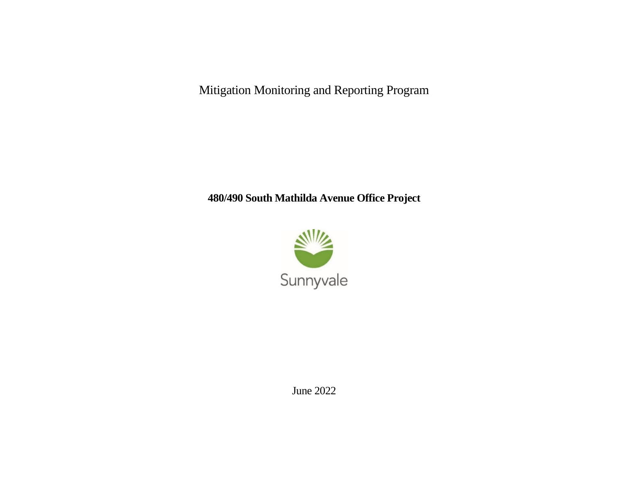Mitigation Monitoring and Reporting Program

## **480/490 South Mathilda Avenue Office Project**



June 2022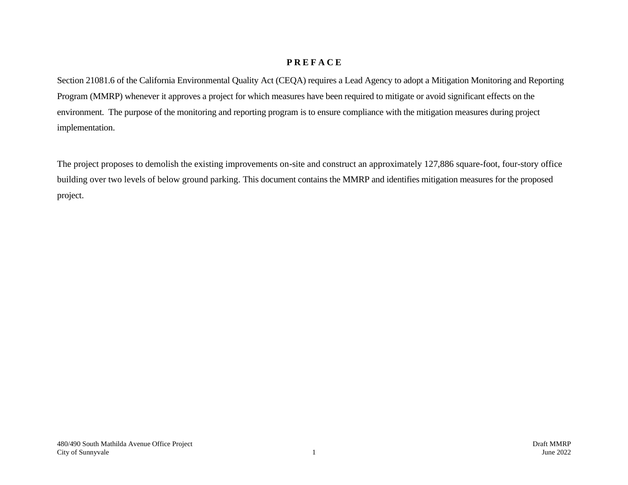## **P R E F A C E**

Section 21081.6 of the California Environmental Quality Act (CEQA) requires a Lead Agency to adopt a Mitigation Monitoring and Reporting Program (MMRP) whenever it approves a project for which measures have been required to mitigate or avoid significant effects on the environment. The purpose of the monitoring and reporting program is to ensure compliance with the mitigation measures during project implementation.

The project proposes to demolish the existing improvements on-site and construct an approximately 127,886 square-foot, four-story office building over two levels of below ground parking. This document contains the MMRP and identifies mitigation measures for the proposed project.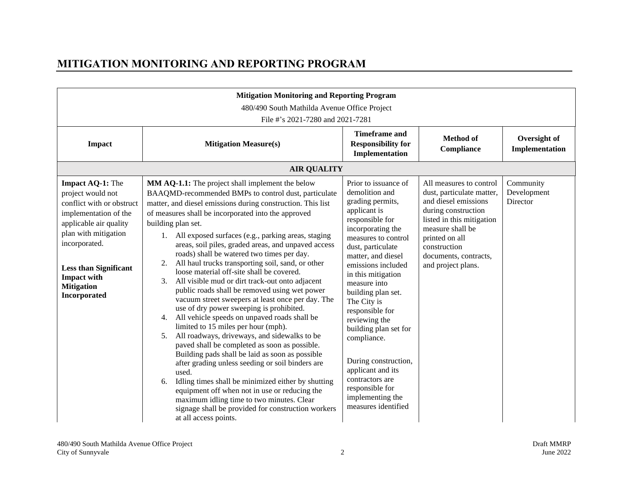## **MITIGATION MONITORING AND REPORTING PROGRAM**

| <b>Mitigation Monitoring and Reporting Program</b><br>480/490 South Mathilda Avenue Office Project<br>File #'s 2021-7280 and 2021-7281                                                                                                                           |                                                                                                                                                                                                                                                                                                                                                                                                                                                                                                                                                                                                                                                                                                                                                                                                                                                                                                                                                                                                                                                                                                                                                                                                                                                                                                                |                                                                                                                                                                                                                                                                                                                                                                                                                                                                                                 |                                                                                                                                                                                                                                       |                                      |
|------------------------------------------------------------------------------------------------------------------------------------------------------------------------------------------------------------------------------------------------------------------|----------------------------------------------------------------------------------------------------------------------------------------------------------------------------------------------------------------------------------------------------------------------------------------------------------------------------------------------------------------------------------------------------------------------------------------------------------------------------------------------------------------------------------------------------------------------------------------------------------------------------------------------------------------------------------------------------------------------------------------------------------------------------------------------------------------------------------------------------------------------------------------------------------------------------------------------------------------------------------------------------------------------------------------------------------------------------------------------------------------------------------------------------------------------------------------------------------------------------------------------------------------------------------------------------------------|-------------------------------------------------------------------------------------------------------------------------------------------------------------------------------------------------------------------------------------------------------------------------------------------------------------------------------------------------------------------------------------------------------------------------------------------------------------------------------------------------|---------------------------------------------------------------------------------------------------------------------------------------------------------------------------------------------------------------------------------------|--------------------------------------|
| <b>Impact</b>                                                                                                                                                                                                                                                    | <b>Mitigation Measure(s)</b>                                                                                                                                                                                                                                                                                                                                                                                                                                                                                                                                                                                                                                                                                                                                                                                                                                                                                                                                                                                                                                                                                                                                                                                                                                                                                   | <b>Timeframe and</b><br><b>Responsibility for</b><br>Implementation                                                                                                                                                                                                                                                                                                                                                                                                                             | <b>Method</b> of<br>Compliance                                                                                                                                                                                                        | Oversight of<br>Implementation       |
|                                                                                                                                                                                                                                                                  | <b>AIR QUALITY</b>                                                                                                                                                                                                                                                                                                                                                                                                                                                                                                                                                                                                                                                                                                                                                                                                                                                                                                                                                                                                                                                                                                                                                                                                                                                                                             |                                                                                                                                                                                                                                                                                                                                                                                                                                                                                                 |                                                                                                                                                                                                                                       |                                      |
| Impact AQ-1: The<br>project would not<br>conflict with or obstruct<br>implementation of the<br>applicable air quality<br>plan with mitigation<br>incorporated.<br><b>Less than Significant</b><br><b>Impact with</b><br><b>Mitigation</b><br><b>Incorporated</b> | MM AQ-1.1: The project shall implement the below<br>BAAQMD-recommended BMPs to control dust, particulate<br>matter, and diesel emissions during construction. This list<br>of measures shall be incorporated into the approved<br>building plan set.<br>1. All exposed surfaces (e.g., parking areas, staging<br>areas, soil piles, graded areas, and unpaved access<br>roads) shall be watered two times per day.<br>All haul trucks transporting soil, sand, or other<br>2.<br>loose material off-site shall be covered.<br>All visible mud or dirt track-out onto adjacent<br>3.<br>public roads shall be removed using wet power<br>vacuum street sweepers at least once per day. The<br>use of dry power sweeping is prohibited.<br>All vehicle speeds on unpaved roads shall be<br>4.<br>limited to 15 miles per hour (mph).<br>All roadways, driveways, and sidewalks to be<br>5 <sub>1</sub><br>paved shall be completed as soon as possible.<br>Building pads shall be laid as soon as possible<br>after grading unless seeding or soil binders are<br>used.<br>Idling times shall be minimized either by shutting<br>6.<br>equipment off when not in use or reducing the<br>maximum idling time to two minutes. Clear<br>signage shall be provided for construction workers<br>at all access points. | Prior to issuance of<br>demolition and<br>grading permits,<br>applicant is<br>responsible for<br>incorporating the<br>measures to control<br>dust, particulate<br>matter, and diesel<br>emissions included<br>in this mitigation<br>measure into<br>building plan set.<br>The City is<br>responsible for<br>reviewing the<br>building plan set for<br>compliance.<br>During construction,<br>applicant and its<br>contractors are<br>responsible for<br>implementing the<br>measures identified | All measures to control<br>dust, particulate matter,<br>and diesel emissions<br>during construction<br>listed in this mitigation<br>measure shall be<br>printed on all<br>construction<br>documents, contracts,<br>and project plans. | Community<br>Development<br>Director |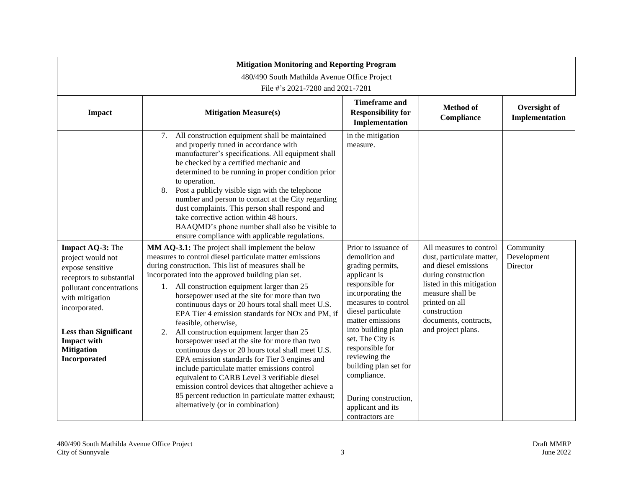| <b>Mitigation Monitoring and Reporting Program</b>                                                                                                                                                                                               |                                                                                                                                                                                                                                                                                                                                                                                                                                                                                                                                                                                                                                                                                                                                                                                                                                                                                                                       |                                                                                                                                                                                                                                                                                                                                                                           |                                                                                                                                                                                                                                       |                                      |  |  |
|--------------------------------------------------------------------------------------------------------------------------------------------------------------------------------------------------------------------------------------------------|-----------------------------------------------------------------------------------------------------------------------------------------------------------------------------------------------------------------------------------------------------------------------------------------------------------------------------------------------------------------------------------------------------------------------------------------------------------------------------------------------------------------------------------------------------------------------------------------------------------------------------------------------------------------------------------------------------------------------------------------------------------------------------------------------------------------------------------------------------------------------------------------------------------------------|---------------------------------------------------------------------------------------------------------------------------------------------------------------------------------------------------------------------------------------------------------------------------------------------------------------------------------------------------------------------------|---------------------------------------------------------------------------------------------------------------------------------------------------------------------------------------------------------------------------------------|--------------------------------------|--|--|
|                                                                                                                                                                                                                                                  | 480/490 South Mathilda Avenue Office Project<br>File #'s 2021-7280 and 2021-7281                                                                                                                                                                                                                                                                                                                                                                                                                                                                                                                                                                                                                                                                                                                                                                                                                                      |                                                                                                                                                                                                                                                                                                                                                                           |                                                                                                                                                                                                                                       |                                      |  |  |
| <b>Impact</b>                                                                                                                                                                                                                                    | <b>Mitigation Measure(s)</b>                                                                                                                                                                                                                                                                                                                                                                                                                                                                                                                                                                                                                                                                                                                                                                                                                                                                                          | <b>Timeframe and</b><br><b>Responsibility for</b><br>Implementation                                                                                                                                                                                                                                                                                                       | Method of<br>Compliance                                                                                                                                                                                                               | Oversight of<br>Implementation       |  |  |
|                                                                                                                                                                                                                                                  | 7. All construction equipment shall be maintained<br>and properly tuned in accordance with<br>manufacturer's specifications. All equipment shall<br>be checked by a certified mechanic and<br>determined to be running in proper condition prior<br>to operation.<br>Post a publicly visible sign with the telephone<br>8.<br>number and person to contact at the City regarding<br>dust complaints. This person shall respond and<br>take corrective action within 48 hours.<br>BAAQMD's phone number shall also be visible to<br>ensure compliance with applicable regulations.                                                                                                                                                                                                                                                                                                                                     | in the mitigation<br>measure.                                                                                                                                                                                                                                                                                                                                             |                                                                                                                                                                                                                                       |                                      |  |  |
| Impact AQ-3: The<br>project would not<br>expose sensitive<br>receptors to substantial<br>pollutant concentrations<br>with mitigation<br>incorporated.<br><b>Less than Significant</b><br><b>Impact with</b><br><b>Mitigation</b><br>Incorporated | MM AQ-3.1: The project shall implement the below<br>measures to control diesel particulate matter emissions<br>during construction. This list of measures shall be<br>incorporated into the approved building plan set.<br>1. All construction equipment larger than 25<br>horsepower used at the site for more than two<br>continuous days or 20 hours total shall meet U.S.<br>EPA Tier 4 emission standards for NOx and PM, if<br>feasible, otherwise,<br>All construction equipment larger than 25<br>2.<br>horsepower used at the site for more than two<br>continuous days or 20 hours total shall meet U.S.<br>EPA emission standards for Tier 3 engines and<br>include particulate matter emissions control<br>equivalent to CARB Level 3 verifiable diesel<br>emission control devices that altogether achieve a<br>85 percent reduction in particulate matter exhaust;<br>alternatively (or in combination) | Prior to issuance of<br>demolition and<br>grading permits,<br>applicant is<br>responsible for<br>incorporating the<br>measures to control<br>diesel particulate<br>matter emissions<br>into building plan<br>set. The City is<br>responsible for<br>reviewing the<br>building plan set for<br>compliance.<br>During construction,<br>applicant and its<br>contractors are | All measures to control<br>dust, particulate matter,<br>and diesel emissions<br>during construction<br>listed in this mitigation<br>measure shall be<br>printed on all<br>construction<br>documents, contracts,<br>and project plans. | Community<br>Development<br>Director |  |  |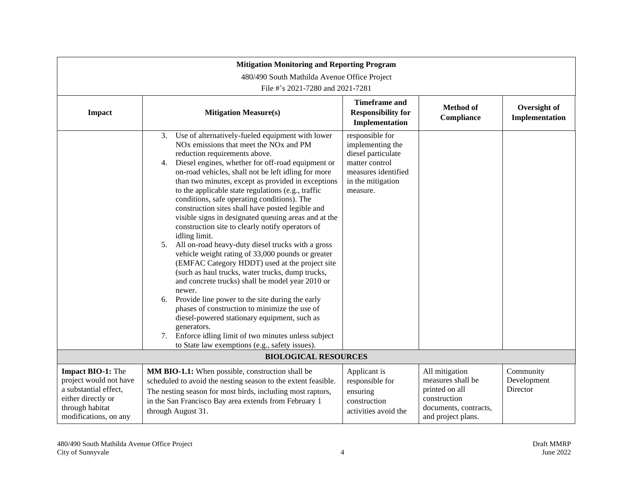| <b>Mitigation Monitoring and Reporting Program</b>                                                                                            |                                                                                                                                                                                                                                                                                                                                                                                                                                                                                                                                                                                                                                                                                                                                                                                                                                                                                                                                                                                                                                                                                                                                                                                                    |                                                                                                                                     |                                                                                                                      |                                      |  |
|-----------------------------------------------------------------------------------------------------------------------------------------------|----------------------------------------------------------------------------------------------------------------------------------------------------------------------------------------------------------------------------------------------------------------------------------------------------------------------------------------------------------------------------------------------------------------------------------------------------------------------------------------------------------------------------------------------------------------------------------------------------------------------------------------------------------------------------------------------------------------------------------------------------------------------------------------------------------------------------------------------------------------------------------------------------------------------------------------------------------------------------------------------------------------------------------------------------------------------------------------------------------------------------------------------------------------------------------------------------|-------------------------------------------------------------------------------------------------------------------------------------|----------------------------------------------------------------------------------------------------------------------|--------------------------------------|--|
|                                                                                                                                               | 480/490 South Mathilda Avenue Office Project                                                                                                                                                                                                                                                                                                                                                                                                                                                                                                                                                                                                                                                                                                                                                                                                                                                                                                                                                                                                                                                                                                                                                       |                                                                                                                                     |                                                                                                                      |                                      |  |
|                                                                                                                                               | File #'s 2021-7280 and 2021-7281                                                                                                                                                                                                                                                                                                                                                                                                                                                                                                                                                                                                                                                                                                                                                                                                                                                                                                                                                                                                                                                                                                                                                                   |                                                                                                                                     |                                                                                                                      |                                      |  |
| <b>Impact</b>                                                                                                                                 | <b>Mitigation Measure(s)</b>                                                                                                                                                                                                                                                                                                                                                                                                                                                                                                                                                                                                                                                                                                                                                                                                                                                                                                                                                                                                                                                                                                                                                                       | <b>Timeframe</b> and<br><b>Responsibility for</b><br>Implementation                                                                 | <b>Method</b> of<br>Compliance                                                                                       | Oversight of<br>Implementation       |  |
|                                                                                                                                               | Use of alternatively-fueled equipment with lower<br>3.<br>NO <sub>x</sub> emissions that meet the NO <sub>x</sub> and PM<br>reduction requirements above.<br>Diesel engines, whether for off-road equipment or<br>4.<br>on-road vehicles, shall not be left idling for more<br>than two minutes, except as provided in exceptions<br>to the applicable state regulations (e.g., traffic<br>conditions, safe operating conditions). The<br>construction sites shall have posted legible and<br>visible signs in designated queuing areas and at the<br>construction site to clearly notify operators of<br>idling limit.<br>All on-road heavy-duty diesel trucks with a gross<br>5.<br>vehicle weight rating of 33,000 pounds or greater<br>(EMFAC Category HDDT) used at the project site<br>(such as haul trucks, water trucks, dump trucks,<br>and concrete trucks) shall be model year 2010 or<br>newer.<br>Provide line power to the site during the early<br>6.<br>phases of construction to minimize the use of<br>diesel-powered stationary equipment, such as<br>generators.<br>Enforce idling limit of two minutes unless subject<br>7.<br>to State law exemptions (e.g., safety issues). | responsible for<br>implementing the<br>diesel particulate<br>matter control<br>measures identified<br>in the mitigation<br>measure. |                                                                                                                      |                                      |  |
|                                                                                                                                               | <b>BIOLOGICAL RESOURCES</b>                                                                                                                                                                                                                                                                                                                                                                                                                                                                                                                                                                                                                                                                                                                                                                                                                                                                                                                                                                                                                                                                                                                                                                        |                                                                                                                                     |                                                                                                                      |                                      |  |
| <b>Impact BIO-1:</b> The<br>project would not have<br>a substantial effect,<br>either directly or<br>through habitat<br>modifications, on any | MM BIO-1.1: When possible, construction shall be<br>scheduled to avoid the nesting season to the extent feasible.<br>The nesting season for most birds, including most raptors,<br>in the San Francisco Bay area extends from February 1<br>through August 31.                                                                                                                                                                                                                                                                                                                                                                                                                                                                                                                                                                                                                                                                                                                                                                                                                                                                                                                                     | Applicant is<br>responsible for<br>ensuring<br>construction<br>activities avoid the                                                 | All mitigation<br>measures shall be<br>printed on all<br>construction<br>documents, contracts,<br>and project plans. | Community<br>Development<br>Director |  |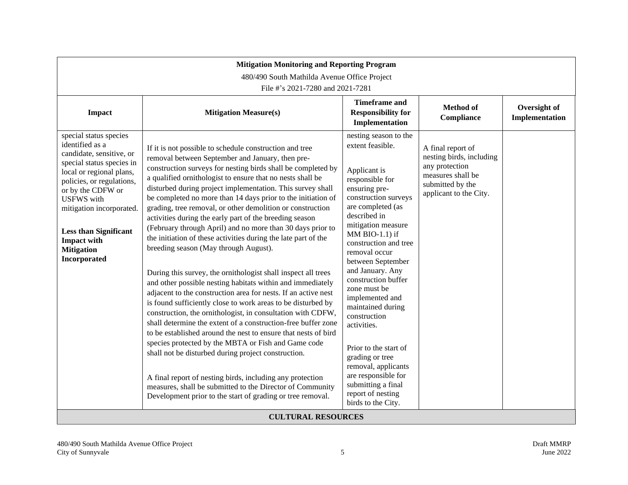| <b>Mitigation Monitoring and Reporting Program</b><br>480/490 South Mathilda Avenue Office Project<br>File #'s 2021-7280 and 2021-7281                                                                                                                                                                                              |                                                                                                                                                                                                                                                                                                                                                                                                                                                                                                                                                                                                                                                                                                                                                                                                                                                                                                                                                                                                                                                                                                                                                                                                                                                                                                                                                                                                                                                    |                                                                                                                                                                                                                                                                                                                                                                                                                                                                                                                                                                |                                                                                                                                    |                                |
|-------------------------------------------------------------------------------------------------------------------------------------------------------------------------------------------------------------------------------------------------------------------------------------------------------------------------------------|----------------------------------------------------------------------------------------------------------------------------------------------------------------------------------------------------------------------------------------------------------------------------------------------------------------------------------------------------------------------------------------------------------------------------------------------------------------------------------------------------------------------------------------------------------------------------------------------------------------------------------------------------------------------------------------------------------------------------------------------------------------------------------------------------------------------------------------------------------------------------------------------------------------------------------------------------------------------------------------------------------------------------------------------------------------------------------------------------------------------------------------------------------------------------------------------------------------------------------------------------------------------------------------------------------------------------------------------------------------------------------------------------------------------------------------------------|----------------------------------------------------------------------------------------------------------------------------------------------------------------------------------------------------------------------------------------------------------------------------------------------------------------------------------------------------------------------------------------------------------------------------------------------------------------------------------------------------------------------------------------------------------------|------------------------------------------------------------------------------------------------------------------------------------|--------------------------------|
| Impact                                                                                                                                                                                                                                                                                                                              | <b>Mitigation Measure(s)</b>                                                                                                                                                                                                                                                                                                                                                                                                                                                                                                                                                                                                                                                                                                                                                                                                                                                                                                                                                                                                                                                                                                                                                                                                                                                                                                                                                                                                                       | <b>Timeframe and</b><br><b>Responsibility for</b><br>Implementation                                                                                                                                                                                                                                                                                                                                                                                                                                                                                            | <b>Method of</b><br>Compliance                                                                                                     | Oversight of<br>Implementation |
| special status species<br>identified as a<br>candidate, sensitive, or<br>special status species in<br>local or regional plans,<br>policies, or regulations,<br>or by the CDFW or<br><b>USFWS</b> with<br>mitigation incorporated.<br><b>Less than Significant</b><br><b>Impact with</b><br><b>Mitigation</b><br><b>Incorporated</b> | If it is not possible to schedule construction and tree<br>removal between September and January, then pre-<br>construction surveys for nesting birds shall be completed by<br>a qualified ornithologist to ensure that no nests shall be<br>disturbed during project implementation. This survey shall<br>be completed no more than 14 days prior to the initiation of<br>grading, tree removal, or other demolition or construction<br>activities during the early part of the breeding season<br>(February through April) and no more than 30 days prior to<br>the initiation of these activities during the late part of the<br>breeding season (May through August).<br>During this survey, the ornithologist shall inspect all trees<br>and other possible nesting habitats within and immediately<br>adjacent to the construction area for nests. If an active nest<br>is found sufficiently close to work areas to be disturbed by<br>construction, the ornithologist, in consultation with CDFW,<br>shall determine the extent of a construction-free buffer zone<br>to be established around the nest to ensure that nests of bird<br>species protected by the MBTA or Fish and Game code<br>shall not be disturbed during project construction.<br>A final report of nesting birds, including any protection<br>measures, shall be submitted to the Director of Community<br>Development prior to the start of grading or tree removal. | nesting season to the<br>extent feasible.<br>Applicant is<br>responsible for<br>ensuring pre-<br>construction surveys<br>are completed (as<br>described in<br>mitigation measure<br>MM BIO-1.1) if<br>construction and tree<br>removal occur<br>between September<br>and January. Any<br>construction buffer<br>zone must be<br>implemented and<br>maintained during<br>construction<br>activities.<br>Prior to the start of<br>grading or tree<br>removal, applicants<br>are responsible for<br>submitting a final<br>report of nesting<br>birds to the City. | A final report of<br>nesting birds, including<br>any protection<br>measures shall be<br>submitted by the<br>applicant to the City. |                                |
|                                                                                                                                                                                                                                                                                                                                     | <b>CULTURAL RESOURCES</b>                                                                                                                                                                                                                                                                                                                                                                                                                                                                                                                                                                                                                                                                                                                                                                                                                                                                                                                                                                                                                                                                                                                                                                                                                                                                                                                                                                                                                          |                                                                                                                                                                                                                                                                                                                                                                                                                                                                                                                                                                |                                                                                                                                    |                                |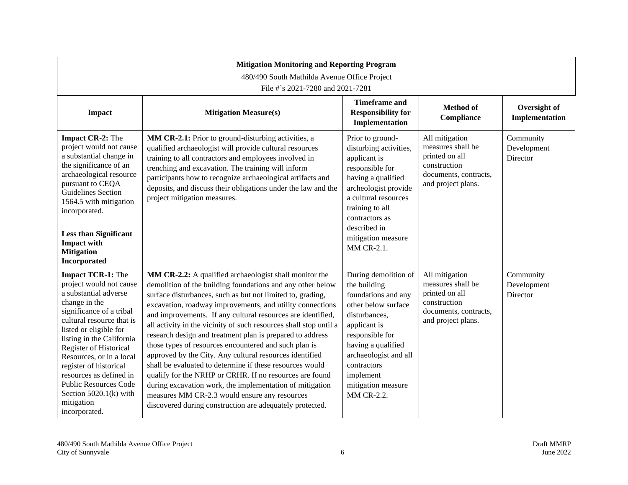|                                                                                                                                                                                                                                                                                                                                                                                                                     | <b>Mitigation Monitoring and Reporting Program</b><br>480/490 South Mathilda Avenue Office Project<br>File #'s 2021-7280 and 2021-7281                                                                                                                                                                                                                                                                                                                                                                                                                                                                                                                                                                                                                                                                                                                               |                                                                                                                                                                                                                                                       |                                                                                                                      |                                      |  |
|---------------------------------------------------------------------------------------------------------------------------------------------------------------------------------------------------------------------------------------------------------------------------------------------------------------------------------------------------------------------------------------------------------------------|----------------------------------------------------------------------------------------------------------------------------------------------------------------------------------------------------------------------------------------------------------------------------------------------------------------------------------------------------------------------------------------------------------------------------------------------------------------------------------------------------------------------------------------------------------------------------------------------------------------------------------------------------------------------------------------------------------------------------------------------------------------------------------------------------------------------------------------------------------------------|-------------------------------------------------------------------------------------------------------------------------------------------------------------------------------------------------------------------------------------------------------|----------------------------------------------------------------------------------------------------------------------|--------------------------------------|--|
| <b>Impact</b>                                                                                                                                                                                                                                                                                                                                                                                                       | <b>Mitigation Measure(s)</b>                                                                                                                                                                                                                                                                                                                                                                                                                                                                                                                                                                                                                                                                                                                                                                                                                                         | <b>Timeframe</b> and<br><b>Responsibility for</b><br>Implementation                                                                                                                                                                                   | <b>Method of</b><br>Compliance                                                                                       | Oversight of<br>Implementation       |  |
| Impact CR-2: The<br>project would not cause<br>a substantial change in<br>the significance of an<br>archaeological resource<br>pursuant to CEQA<br>Guidelines Section<br>1564.5 with mitigation<br>incorporated.<br><b>Less than Significant</b><br><b>Impact with</b><br><b>Mitigation</b><br>Incorporated                                                                                                         | MM CR-2.1: Prior to ground-disturbing activities, a<br>qualified archaeologist will provide cultural resources<br>training to all contractors and employees involved in<br>trenching and excavation. The training will inform<br>participants how to recognize archaeological artifacts and<br>deposits, and discuss their obligations under the law and the<br>project mitigation measures.                                                                                                                                                                                                                                                                                                                                                                                                                                                                         | Prior to ground-<br>disturbing activities,<br>applicant is<br>responsible for<br>having a qualified<br>archeologist provide<br>a cultural resources<br>training to all<br>contractors as<br>described in<br>mitigation measure<br>MM CR-2.1.          | All mitigation<br>measures shall be<br>printed on all<br>construction<br>documents, contracts,<br>and project plans. | Community<br>Development<br>Director |  |
| <b>Impact TCR-1:</b> The<br>project would not cause<br>a substantial adverse<br>change in the<br>significance of a tribal<br>cultural resource that is<br>listed or eligible for<br>listing in the California<br>Register of Historical<br>Resources, or in a local<br>register of historical<br>resources as defined in<br><b>Public Resources Code</b><br>Section $5020.1(k)$ with<br>mitigation<br>incorporated. | MM CR-2.2: A qualified archaeologist shall monitor the<br>demolition of the building foundations and any other below<br>surface disturbances, such as but not limited to, grading,<br>excavation, roadway improvements, and utility connections<br>and improvements. If any cultural resources are identified,<br>all activity in the vicinity of such resources shall stop until a<br>research design and treatment plan is prepared to address<br>those types of resources encountered and such plan is<br>approved by the City. Any cultural resources identified<br>shall be evaluated to determine if these resources would<br>qualify for the NRHP or CRHR. If no resources are found<br>during excavation work, the implementation of mitigation<br>measures MM CR-2.3 would ensure any resources<br>discovered during construction are adequately protected. | During demolition of<br>the building<br>foundations and any<br>other below surface<br>disturbances,<br>applicant is<br>responsible for<br>having a qualified<br>archaeologist and all<br>contractors<br>implement<br>mitigation measure<br>MM CR-2.2. | All mitigation<br>measures shall be<br>printed on all<br>construction<br>documents, contracts,<br>and project plans. | Community<br>Development<br>Director |  |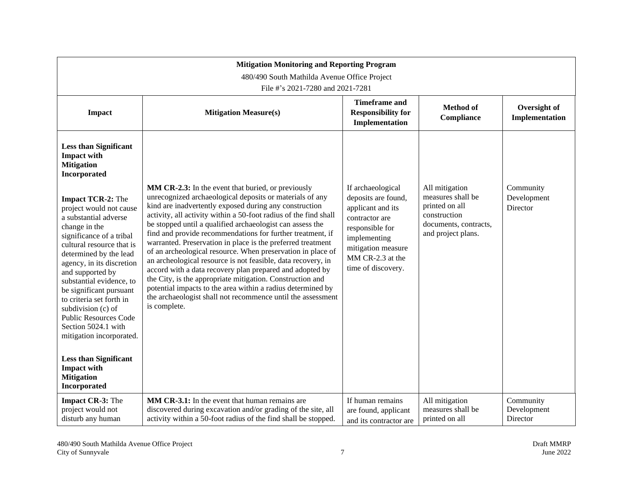| <b>Mitigation Monitoring and Reporting Program</b>                                                                                                                                                                                                                                                                                                                                                                                                                                                                                                                                                                  |                                                                                                                                                                                                                                                                                                                                                                                                                                                                                                                                                                                                                                                                                                                                                                                                                                              |                                                                                                                                                                                    |                                                                                                                      |                                      |
|---------------------------------------------------------------------------------------------------------------------------------------------------------------------------------------------------------------------------------------------------------------------------------------------------------------------------------------------------------------------------------------------------------------------------------------------------------------------------------------------------------------------------------------------------------------------------------------------------------------------|----------------------------------------------------------------------------------------------------------------------------------------------------------------------------------------------------------------------------------------------------------------------------------------------------------------------------------------------------------------------------------------------------------------------------------------------------------------------------------------------------------------------------------------------------------------------------------------------------------------------------------------------------------------------------------------------------------------------------------------------------------------------------------------------------------------------------------------------|------------------------------------------------------------------------------------------------------------------------------------------------------------------------------------|----------------------------------------------------------------------------------------------------------------------|--------------------------------------|
|                                                                                                                                                                                                                                                                                                                                                                                                                                                                                                                                                                                                                     | 480/490 South Mathilda Avenue Office Project                                                                                                                                                                                                                                                                                                                                                                                                                                                                                                                                                                                                                                                                                                                                                                                                 |                                                                                                                                                                                    |                                                                                                                      |                                      |
| File #'s 2021-7280 and 2021-7281                                                                                                                                                                                                                                                                                                                                                                                                                                                                                                                                                                                    |                                                                                                                                                                                                                                                                                                                                                                                                                                                                                                                                                                                                                                                                                                                                                                                                                                              |                                                                                                                                                                                    |                                                                                                                      |                                      |
| <b>Impact</b>                                                                                                                                                                                                                                                                                                                                                                                                                                                                                                                                                                                                       | <b>Mitigation Measure(s)</b>                                                                                                                                                                                                                                                                                                                                                                                                                                                                                                                                                                                                                                                                                                                                                                                                                 | <b>Timeframe and</b><br><b>Responsibility for</b><br>Implementation                                                                                                                | <b>Method</b> of<br>Compliance                                                                                       | Oversight of<br>Implementation       |
| <b>Less than Significant</b><br><b>Impact with</b><br><b>Mitigation</b><br>Incorporated<br><b>Impact TCR-2:</b> The<br>project would not cause<br>a substantial adverse<br>change in the<br>significance of a tribal<br>cultural resource that is<br>determined by the lead<br>agency, in its discretion<br>and supported by<br>substantial evidence, to<br>be significant pursuant<br>to criteria set forth in<br>subdivision (c) of<br><b>Public Resources Code</b><br>Section 5024.1 with<br>mitigation incorporated.<br><b>Less than Significant</b><br><b>Impact with</b><br><b>Mitigation</b><br>Incorporated | MM CR-2.3: In the event that buried, or previously<br>unrecognized archaeological deposits or materials of any<br>kind are inadvertently exposed during any construction<br>activity, all activity within a 50-foot radius of the find shall<br>be stopped until a qualified archaeologist can assess the<br>find and provide recommendations for further treatment, if<br>warranted. Preservation in place is the preferred treatment<br>of an archeological resource. When preservation in place of<br>an archeological resource is not feasible, data recovery, in<br>accord with a data recovery plan prepared and adopted by<br>the City, is the appropriate mitigation. Construction and<br>potential impacts to the area within a radius determined by<br>the archaeologist shall not recommence until the assessment<br>is complete. | If archaeological<br>deposits are found,<br>applicant and its<br>contractor are<br>responsible for<br>implementing<br>mitigation measure<br>MM CR-2.3 at the<br>time of discovery. | All mitigation<br>measures shall be<br>printed on all<br>construction<br>documents, contracts,<br>and project plans. | Community<br>Development<br>Director |
| <b>Impact CR-3: The</b><br>project would not<br>disturb any human                                                                                                                                                                                                                                                                                                                                                                                                                                                                                                                                                   | MM CR-3.1: In the event that human remains are<br>discovered during excavation and/or grading of the site, all<br>activity within a 50-foot radius of the find shall be stopped.                                                                                                                                                                                                                                                                                                                                                                                                                                                                                                                                                                                                                                                             | If human remains<br>are found, applicant<br>and its contractor are                                                                                                                 | All mitigation<br>measures shall be<br>printed on all                                                                | Community<br>Development<br>Director |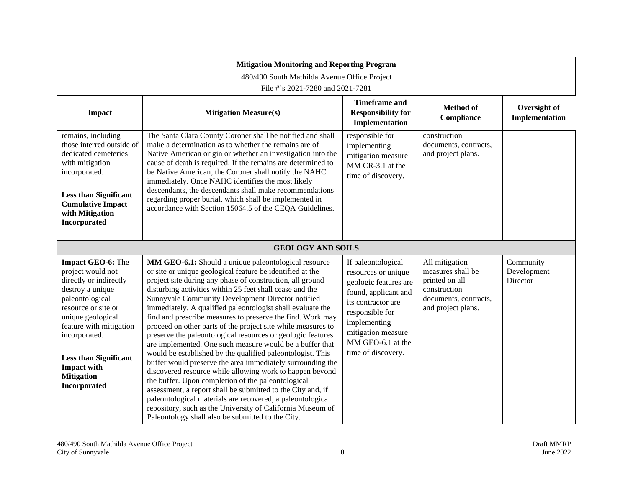| <b>Mitigation Monitoring and Reporting Program</b><br>480/490 South Mathilda Avenue Office Project<br>File #'s 2021-7280 and 2021-7281                                                                                                                                                     |                                                                                                                                                                                                                                                                                                                                                                                                                                                                                                                                                                                                                                                                                                                                                                                                                                                                                                                                                                                                                                                                                                                      |                                                                                                                                                                                                                      |                                                                                                                      |                                      |
|--------------------------------------------------------------------------------------------------------------------------------------------------------------------------------------------------------------------------------------------------------------------------------------------|----------------------------------------------------------------------------------------------------------------------------------------------------------------------------------------------------------------------------------------------------------------------------------------------------------------------------------------------------------------------------------------------------------------------------------------------------------------------------------------------------------------------------------------------------------------------------------------------------------------------------------------------------------------------------------------------------------------------------------------------------------------------------------------------------------------------------------------------------------------------------------------------------------------------------------------------------------------------------------------------------------------------------------------------------------------------------------------------------------------------|----------------------------------------------------------------------------------------------------------------------------------------------------------------------------------------------------------------------|----------------------------------------------------------------------------------------------------------------------|--------------------------------------|
| <b>Impact</b>                                                                                                                                                                                                                                                                              | <b>Mitigation Measure(s)</b>                                                                                                                                                                                                                                                                                                                                                                                                                                                                                                                                                                                                                                                                                                                                                                                                                                                                                                                                                                                                                                                                                         | <b>Timeframe and</b><br><b>Responsibility for</b><br>Implementation                                                                                                                                                  | <b>Method</b> of<br>Compliance                                                                                       | Oversight of<br>Implementation       |
| remains, including<br>those interred outside of<br>dedicated cemeteries<br>with mitigation<br>incorporated.<br><b>Less than Significant</b><br><b>Cumulative Impact</b><br>with Mitigation<br>Incorporated                                                                                 | The Santa Clara County Coroner shall be notified and shall<br>make a determination as to whether the remains are of<br>Native American origin or whether an investigation into the<br>cause of death is required. If the remains are determined to<br>be Native American, the Coroner shall notify the NAHC<br>immediately. Once NAHC identifies the most likely<br>descendants, the descendants shall make recommendations<br>regarding proper burial, which shall be implemented in<br>accordance with Section 15064.5 of the CEQA Guidelines.                                                                                                                                                                                                                                                                                                                                                                                                                                                                                                                                                                     | responsible for<br>implementing<br>mitigation measure<br>MM CR-3.1 at the<br>time of discovery.                                                                                                                      | construction<br>documents, contracts,<br>and project plans.                                                          |                                      |
|                                                                                                                                                                                                                                                                                            | <b>GEOLOGY AND SOILS</b>                                                                                                                                                                                                                                                                                                                                                                                                                                                                                                                                                                                                                                                                                                                                                                                                                                                                                                                                                                                                                                                                                             |                                                                                                                                                                                                                      |                                                                                                                      |                                      |
| Impact GEO-6: The<br>project would not<br>directly or indirectly<br>destroy a unique<br>paleontological<br>resource or site or<br>unique geological<br>feature with mitigation<br>incorporated.<br><b>Less than Significant</b><br><b>Impact with</b><br><b>Mitigation</b><br>Incorporated | MM GEO-6.1: Should a unique paleontological resource<br>or site or unique geological feature be identified at the<br>project site during any phase of construction, all ground<br>disturbing activities within 25 feet shall cease and the<br>Sunnyvale Community Development Director notified<br>immediately. A qualified paleontologist shall evaluate the<br>find and prescribe measures to preserve the find. Work may<br>proceed on other parts of the project site while measures to<br>preserve the paleontological resources or geologic features<br>are implemented. One such measure would be a buffer that<br>would be established by the qualified paleontologist. This<br>buffer would preserve the area immediately surrounding the<br>discovered resource while allowing work to happen beyond<br>the buffer. Upon completion of the paleontological<br>assessment, a report shall be submitted to the City and, if<br>paleontological materials are recovered, a paleontological<br>repository, such as the University of California Museum of<br>Paleontology shall also be submitted to the City. | If paleontological<br>resources or unique<br>geologic features are<br>found, applicant and<br>its contractor are<br>responsible for<br>implementing<br>mitigation measure<br>MM GEO-6.1 at the<br>time of discovery. | All mitigation<br>measures shall be<br>printed on all<br>construction<br>documents, contracts,<br>and project plans. | Community<br>Development<br>Director |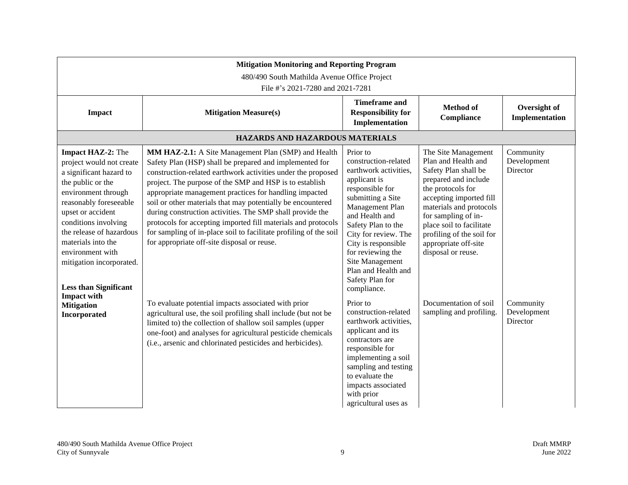| <b>Mitigation Monitoring and Reporting Program</b><br>480/490 South Mathilda Avenue Office Project<br>File #'s 2021-7280 and 2021-7281                                                                                                                                                                                               |                                                                                                                                                                                                                                                                                                                                                                                                                                                                                                                                                                                                                      |                                                                                                                                                                                                                                                                                                                              |                                                                                                                                                                                                                                                                                                     |                                      |
|--------------------------------------------------------------------------------------------------------------------------------------------------------------------------------------------------------------------------------------------------------------------------------------------------------------------------------------|----------------------------------------------------------------------------------------------------------------------------------------------------------------------------------------------------------------------------------------------------------------------------------------------------------------------------------------------------------------------------------------------------------------------------------------------------------------------------------------------------------------------------------------------------------------------------------------------------------------------|------------------------------------------------------------------------------------------------------------------------------------------------------------------------------------------------------------------------------------------------------------------------------------------------------------------------------|-----------------------------------------------------------------------------------------------------------------------------------------------------------------------------------------------------------------------------------------------------------------------------------------------------|--------------------------------------|
| <b>Impact</b>                                                                                                                                                                                                                                                                                                                        | <b>Mitigation Measure(s)</b>                                                                                                                                                                                                                                                                                                                                                                                                                                                                                                                                                                                         | <b>Timeframe and</b><br><b>Responsibility for</b><br>Implementation                                                                                                                                                                                                                                                          | <b>Method</b> of<br><b>Compliance</b>                                                                                                                                                                                                                                                               | Oversight of<br>Implementation       |
|                                                                                                                                                                                                                                                                                                                                      | HAZARDS AND HAZARDOUS MATERIALS                                                                                                                                                                                                                                                                                                                                                                                                                                                                                                                                                                                      |                                                                                                                                                                                                                                                                                                                              |                                                                                                                                                                                                                                                                                                     |                                      |
| <b>Impact HAZ-2:</b> The<br>project would not create<br>a significant hazard to<br>the public or the<br>environment through<br>reasonably foreseeable<br>upset or accident<br>conditions involving<br>the release of hazardous<br>materials into the<br>environment with<br>mitigation incorporated.<br><b>Less than Significant</b> | MM HAZ-2.1: A Site Management Plan (SMP) and Health<br>Safety Plan (HSP) shall be prepared and implemented for<br>construction-related earthwork activities under the proposed<br>project. The purpose of the SMP and HSP is to establish<br>appropriate management practices for handling impacted<br>soil or other materials that may potentially be encountered<br>during construction activities. The SMP shall provide the<br>protocols for accepting imported fill materials and protocols<br>for sampling of in-place soil to facilitate profiling of the soil<br>for appropriate off-site disposal or reuse. | Prior to<br>construction-related<br>earthwork activities,<br>applicant is<br>responsible for<br>submitting a Site<br>Management Plan<br>and Health and<br>Safety Plan to the<br>City for review. The<br>City is responsible<br>for reviewing the<br>Site Management<br>Plan and Health and<br>Safety Plan for<br>compliance. | The Site Management<br>Plan and Health and<br>Safety Plan shall be<br>prepared and include<br>the protocols for<br>accepting imported fill<br>materials and protocols<br>for sampling of in-<br>place soil to facilitate<br>profiling of the soil for<br>appropriate off-site<br>disposal or reuse. | Community<br>Development<br>Director |
| <b>Impact with</b><br><b>Mitigation</b><br>Incorporated                                                                                                                                                                                                                                                                              | To evaluate potential impacts associated with prior<br>agricultural use, the soil profiling shall include (but not be<br>limited to) the collection of shallow soil samples (upper<br>one-foot) and analyses for agricultural pesticide chemicals<br>(i.e., arsenic and chlorinated pesticides and herbicides).                                                                                                                                                                                                                                                                                                      | Prior to<br>construction-related<br>earthwork activities,<br>applicant and its<br>contractors are<br>responsible for<br>implementing a soil<br>sampling and testing<br>to evaluate the<br>impacts associated<br>with prior<br>agricultural uses as                                                                           | Documentation of soil<br>sampling and profiling.                                                                                                                                                                                                                                                    | Community<br>Development<br>Director |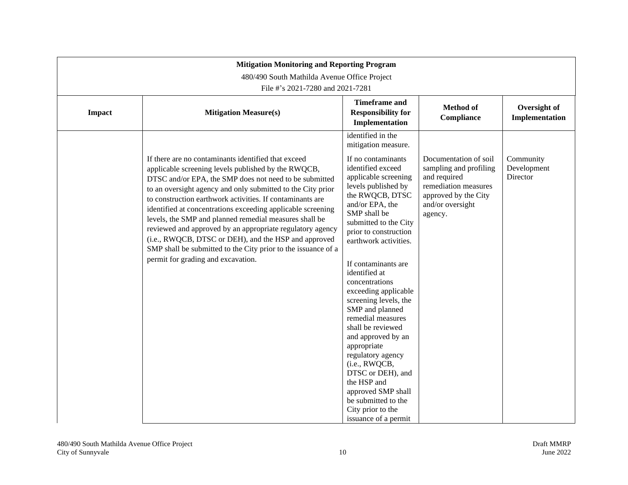|               | <b>Mitigation Monitoring and Reporting Program</b>                                                                                                                                                                                                                                                                                                                                                                                                                                                                                                                                                                                                    |                                                                                                                                                                                                                                                                                                                                                                                                                                                                                                                                                                                                         |                                                                                                                                                |                                      |  |
|---------------|-------------------------------------------------------------------------------------------------------------------------------------------------------------------------------------------------------------------------------------------------------------------------------------------------------------------------------------------------------------------------------------------------------------------------------------------------------------------------------------------------------------------------------------------------------------------------------------------------------------------------------------------------------|---------------------------------------------------------------------------------------------------------------------------------------------------------------------------------------------------------------------------------------------------------------------------------------------------------------------------------------------------------------------------------------------------------------------------------------------------------------------------------------------------------------------------------------------------------------------------------------------------------|------------------------------------------------------------------------------------------------------------------------------------------------|--------------------------------------|--|
|               | 480/490 South Mathilda Avenue Office Project<br>File #'s 2021-7280 and 2021-7281                                                                                                                                                                                                                                                                                                                                                                                                                                                                                                                                                                      |                                                                                                                                                                                                                                                                                                                                                                                                                                                                                                                                                                                                         |                                                                                                                                                |                                      |  |
| <b>Impact</b> | <b>Mitigation Measure(s)</b>                                                                                                                                                                                                                                                                                                                                                                                                                                                                                                                                                                                                                          | <b>Timeframe and</b><br><b>Responsibility for</b><br>Implementation                                                                                                                                                                                                                                                                                                                                                                                                                                                                                                                                     | <b>Method</b> of<br>Compliance                                                                                                                 | Oversight of<br>Implementation       |  |
|               | If there are no contaminants identified that exceed<br>applicable screening levels published by the RWQCB,<br>DTSC and/or EPA, the SMP does not need to be submitted<br>to an oversight agency and only submitted to the City prior<br>to construction earthwork activities. If contaminants are<br>identified at concentrations exceeding applicable screening<br>levels, the SMP and planned remedial measures shall be<br>reviewed and approved by an appropriate regulatory agency<br>(i.e., RWQCB, DTSC or DEH), and the HSP and approved<br>SMP shall be submitted to the City prior to the issuance of a<br>permit for grading and excavation. | identified in the<br>mitigation measure.<br>If no contaminants<br>identified exceed<br>applicable screening<br>levels published by<br>the RWQCB, DTSC<br>and/or EPA, the<br>SMP shall be<br>submitted to the City<br>prior to construction<br>earthwork activities.<br>If contaminants are<br>identified at<br>concentrations<br>exceeding applicable<br>screening levels, the<br>SMP and planned<br>remedial measures<br>shall be reviewed<br>and approved by an<br>appropriate<br>regulatory agency<br>(i.e., RWQCB,<br>DTSC or DEH), and<br>the HSP and<br>approved SMP shall<br>be submitted to the | Documentation of soil<br>sampling and profiling<br>and required<br>remediation measures<br>approved by the City<br>and/or oversight<br>agency. | Community<br>Development<br>Director |  |
|               |                                                                                                                                                                                                                                                                                                                                                                                                                                                                                                                                                                                                                                                       | City prior to the<br>issuance of a permit                                                                                                                                                                                                                                                                                                                                                                                                                                                                                                                                                               |                                                                                                                                                |                                      |  |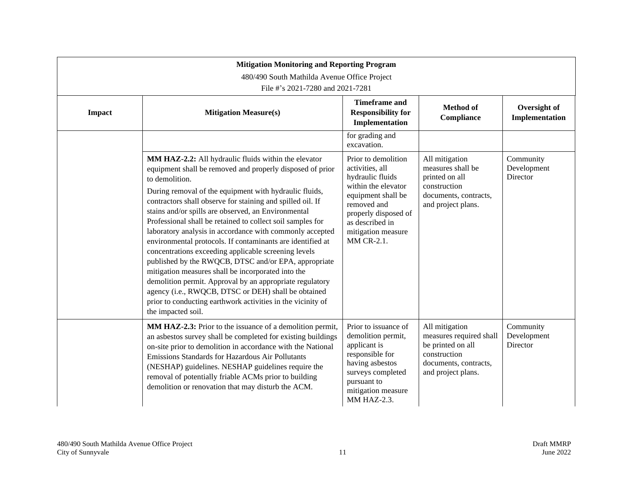|        | <b>Mitigation Monitoring and Reporting Program</b><br>480/490 South Mathilda Avenue Office Project                                                                                                                                                                                                                                                                                                                                                                                                                                                                                                                                                                                                                                                                                                                                                                                       |                                                                                                                                                                                                       |                                                                                                                               |                                      |  |
|--------|------------------------------------------------------------------------------------------------------------------------------------------------------------------------------------------------------------------------------------------------------------------------------------------------------------------------------------------------------------------------------------------------------------------------------------------------------------------------------------------------------------------------------------------------------------------------------------------------------------------------------------------------------------------------------------------------------------------------------------------------------------------------------------------------------------------------------------------------------------------------------------------|-------------------------------------------------------------------------------------------------------------------------------------------------------------------------------------------------------|-------------------------------------------------------------------------------------------------------------------------------|--------------------------------------|--|
|        | File #'s 2021-7280 and 2021-7281                                                                                                                                                                                                                                                                                                                                                                                                                                                                                                                                                                                                                                                                                                                                                                                                                                                         |                                                                                                                                                                                                       |                                                                                                                               |                                      |  |
| Impact | <b>Mitigation Measure(s)</b>                                                                                                                                                                                                                                                                                                                                                                                                                                                                                                                                                                                                                                                                                                                                                                                                                                                             | <b>Timeframe and</b><br><b>Responsibility for</b><br>Implementation                                                                                                                                   | <b>Method</b> of<br>Compliance                                                                                                | Oversight of<br>Implementation       |  |
|        |                                                                                                                                                                                                                                                                                                                                                                                                                                                                                                                                                                                                                                                                                                                                                                                                                                                                                          | for grading and<br>excavation.                                                                                                                                                                        |                                                                                                                               |                                      |  |
|        | MM HAZ-2.2: All hydraulic fluids within the elevator<br>equipment shall be removed and properly disposed of prior<br>to demolition.<br>During removal of the equipment with hydraulic fluids,<br>contractors shall observe for staining and spilled oil. If<br>stains and/or spills are observed, an Environmental<br>Professional shall be retained to collect soil samples for<br>laboratory analysis in accordance with commonly accepted<br>environmental protocols. If contaminants are identified at<br>concentrations exceeding applicable screening levels<br>published by the RWQCB, DTSC and/or EPA, appropriate<br>mitigation measures shall be incorporated into the<br>demolition permit. Approval by an appropriate regulatory<br>agency (i.e., RWQCB, DTSC or DEH) shall be obtained<br>prior to conducting earthwork activities in the vicinity of<br>the impacted soil. | Prior to demolition<br>activities, all<br>hydraulic fluids<br>within the elevator<br>equipment shall be<br>removed and<br>properly disposed of<br>as described in<br>mitigation measure<br>MM CR-2.1. | All mitigation<br>measures shall be<br>printed on all<br>construction<br>documents, contracts,<br>and project plans.          | Community<br>Development<br>Director |  |
|        | MM HAZ-2.3: Prior to the issuance of a demolition permit,<br>an asbestos survey shall be completed for existing buildings<br>on-site prior to demolition in accordance with the National<br>Emissions Standards for Hazardous Air Pollutants<br>(NESHAP) guidelines. NESHAP guidelines require the<br>removal of potentially friable ACMs prior to building<br>demolition or renovation that may disturb the ACM.                                                                                                                                                                                                                                                                                                                                                                                                                                                                        | Prior to issuance of<br>demolition permit,<br>applicant is<br>responsible for<br>having asbestos<br>surveys completed<br>pursuant to<br>mitigation measure<br><b>MM HAZ-2.3.</b>                      | All mitigation<br>measures required shall<br>be printed on all<br>construction<br>documents, contracts,<br>and project plans. | Community<br>Development<br>Director |  |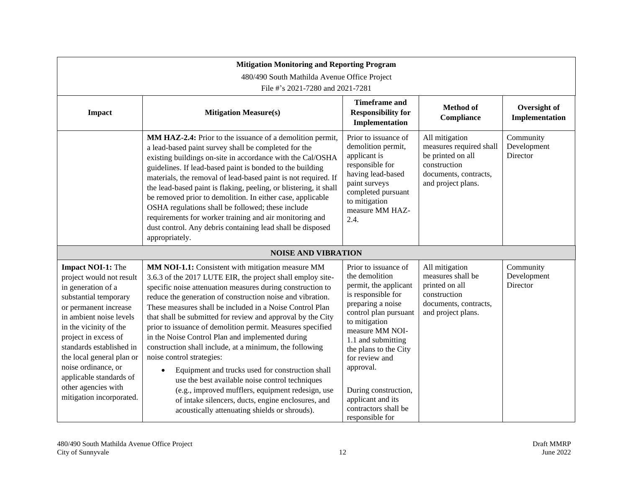|                                                                                                                                                                                                                                                                                                                                                                         | <b>Mitigation Monitoring and Reporting Program</b><br>480/490 South Mathilda Avenue Office Project<br>File #'s 2021-7280 and 2021-7281                                                                                                                                                                                                                                                                                                                                                                                                                                                                                                                                                                                                                                                                                                                           |                                                                                                                                                                                                                                                                                                                                               |                                                                                                                               |                                      |
|-------------------------------------------------------------------------------------------------------------------------------------------------------------------------------------------------------------------------------------------------------------------------------------------------------------------------------------------------------------------------|------------------------------------------------------------------------------------------------------------------------------------------------------------------------------------------------------------------------------------------------------------------------------------------------------------------------------------------------------------------------------------------------------------------------------------------------------------------------------------------------------------------------------------------------------------------------------------------------------------------------------------------------------------------------------------------------------------------------------------------------------------------------------------------------------------------------------------------------------------------|-----------------------------------------------------------------------------------------------------------------------------------------------------------------------------------------------------------------------------------------------------------------------------------------------------------------------------------------------|-------------------------------------------------------------------------------------------------------------------------------|--------------------------------------|
| <b>Impact</b>                                                                                                                                                                                                                                                                                                                                                           | <b>Mitigation Measure(s)</b>                                                                                                                                                                                                                                                                                                                                                                                                                                                                                                                                                                                                                                                                                                                                                                                                                                     | <b>Timeframe</b> and<br><b>Responsibility for</b><br>Implementation                                                                                                                                                                                                                                                                           | Method of<br>Compliance                                                                                                       | Oversight of<br>Implementation       |
|                                                                                                                                                                                                                                                                                                                                                                         | MM HAZ-2.4: Prior to the issuance of a demolition permit,<br>a lead-based paint survey shall be completed for the<br>existing buildings on-site in accordance with the Cal/OSHA<br>guidelines. If lead-based paint is bonded to the building<br>materials, the removal of lead-based paint is not required. If<br>the lead-based paint is flaking, peeling, or blistering, it shall<br>be removed prior to demolition. In either case, applicable<br>OSHA regulations shall be followed; these include<br>requirements for worker training and air monitoring and<br>dust control. Any debris containing lead shall be disposed<br>appropriately.                                                                                                                                                                                                                | Prior to issuance of<br>demolition permit,<br>applicant is<br>responsible for<br>having lead-based<br>paint surveys<br>completed pursuant<br>to mitigation<br>measure MM HAZ-<br>2.4.                                                                                                                                                         | All mitigation<br>measures required shall<br>be printed on all<br>construction<br>documents, contracts,<br>and project plans. | Community<br>Development<br>Director |
|                                                                                                                                                                                                                                                                                                                                                                         | <b>NOISE AND VIBRATION</b>                                                                                                                                                                                                                                                                                                                                                                                                                                                                                                                                                                                                                                                                                                                                                                                                                                       |                                                                                                                                                                                                                                                                                                                                               |                                                                                                                               |                                      |
| <b>Impact NOI-1:</b> The<br>project would not result<br>in generation of a<br>substantial temporary<br>or permanent increase<br>in ambient noise levels<br>in the vicinity of the<br>project in excess of<br>standards established in<br>the local general plan or<br>noise ordinance, or<br>applicable standards of<br>other agencies with<br>mitigation incorporated. | MM NOI-1.1: Consistent with mitigation measure MM<br>3.6.3 of the 2017 LUTE EIR, the project shall employ site-<br>specific noise attenuation measures during construction to<br>reduce the generation of construction noise and vibration.<br>These measures shall be included in a Noise Control Plan<br>that shall be submitted for review and approval by the City<br>prior to issuance of demolition permit. Measures specified<br>in the Noise Control Plan and implemented during<br>construction shall include, at a minimum, the following<br>noise control strategies:<br>Equipment and trucks used for construction shall<br>$\bullet$<br>use the best available noise control techniques<br>(e.g., improved mufflers, equipment redesign, use<br>of intake silencers, ducts, engine enclosures, and<br>acoustically attenuating shields or shrouds). | Prior to issuance of<br>the demolition<br>permit, the applicant<br>is responsible for<br>preparing a noise<br>control plan pursuant<br>to mitigation<br>measure MM NOI-<br>1.1 and submitting<br>the plans to the City<br>for review and<br>approval.<br>During construction,<br>applicant and its<br>contractors shall be<br>responsible for | All mitigation<br>measures shall be<br>printed on all<br>construction<br>documents, contracts,<br>and project plans.          | Community<br>Development<br>Director |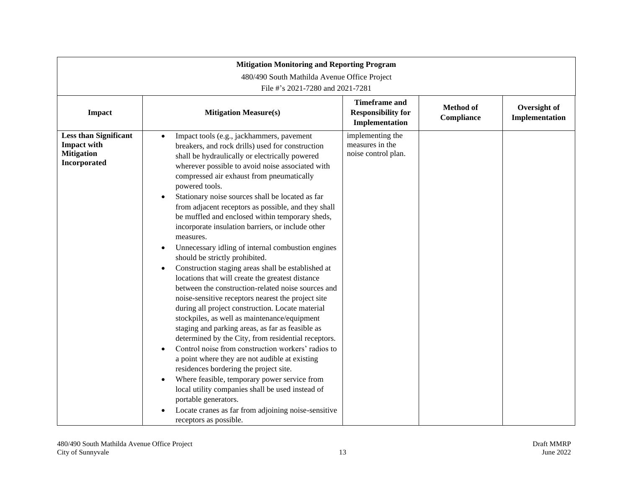| <b>Mitigation Monitoring and Reporting Program</b><br>480/490 South Mathilda Avenue Office Project<br>File #'s 2021-7280 and 2021-7281 |                                                                                                                                                                                                                                                                                                                                                                                                                                                                                                                                                                                                                                                                                                                                                                                                                                                                                                                                                                                                                                                                                                                                                                                                                                                                                                                                                                                                                                                   |                                                                     |                                |                                |
|----------------------------------------------------------------------------------------------------------------------------------------|---------------------------------------------------------------------------------------------------------------------------------------------------------------------------------------------------------------------------------------------------------------------------------------------------------------------------------------------------------------------------------------------------------------------------------------------------------------------------------------------------------------------------------------------------------------------------------------------------------------------------------------------------------------------------------------------------------------------------------------------------------------------------------------------------------------------------------------------------------------------------------------------------------------------------------------------------------------------------------------------------------------------------------------------------------------------------------------------------------------------------------------------------------------------------------------------------------------------------------------------------------------------------------------------------------------------------------------------------------------------------------------------------------------------------------------------------|---------------------------------------------------------------------|--------------------------------|--------------------------------|
| <b>Impact</b>                                                                                                                          | <b>Mitigation Measure(s)</b>                                                                                                                                                                                                                                                                                                                                                                                                                                                                                                                                                                                                                                                                                                                                                                                                                                                                                                                                                                                                                                                                                                                                                                                                                                                                                                                                                                                                                      | <b>Timeframe and</b><br><b>Responsibility for</b><br>Implementation | <b>Method of</b><br>Compliance | Oversight of<br>Implementation |
| <b>Less than Significant</b><br><b>Impact with</b><br><b>Mitigation</b><br>Incorporated                                                | Impact tools (e.g., jackhammers, pavement<br>$\bullet$<br>breakers, and rock drills) used for construction<br>shall be hydraulically or electrically powered<br>wherever possible to avoid noise associated with<br>compressed air exhaust from pneumatically<br>powered tools.<br>Stationary noise sources shall be located as far<br>$\bullet$<br>from adjacent receptors as possible, and they shall<br>be muffled and enclosed within temporary sheds,<br>incorporate insulation barriers, or include other<br>measures.<br>Unnecessary idling of internal combustion engines<br>should be strictly prohibited.<br>Construction staging areas shall be established at<br>$\bullet$<br>locations that will create the greatest distance<br>between the construction-related noise sources and<br>noise-sensitive receptors nearest the project site<br>during all project construction. Locate material<br>stockpiles, as well as maintenance/equipment<br>staging and parking areas, as far as feasible as<br>determined by the City, from residential receptors.<br>Control noise from construction workers' radios to<br>a point where they are not audible at existing<br>residences bordering the project site.<br>Where feasible, temporary power service from<br>$\bullet$<br>local utility companies shall be used instead of<br>portable generators.<br>Locate cranes as far from adjoining noise-sensitive<br>receptors as possible. | implementing the<br>measures in the<br>noise control plan.          |                                |                                |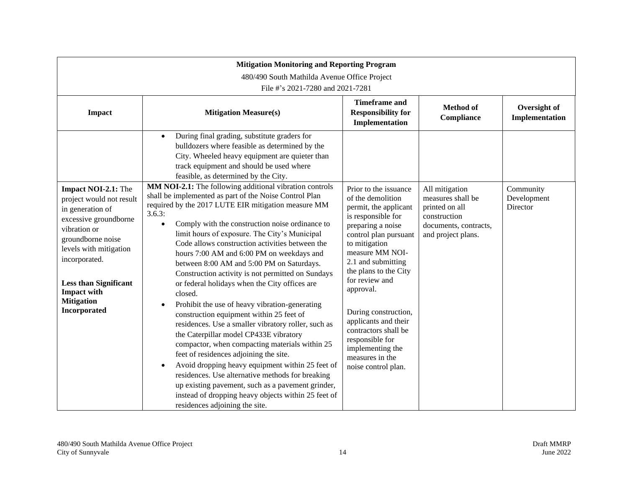| <b>Mitigation Monitoring and Reporting Program</b><br>480/490 South Mathilda Avenue Office Project<br>File #'s 2021-7280 and 2021-7281                                                                                                                                  |                                                                                                                                                                                                                                                                                                                                                                                                                                                                                                                                                                                                                                                                                                                                                                                                                                                                                                                                                                                                                                                                                   |                                                                                                                                                                                                                                                                                                                                                                                                                    |                                                                                                                      |                                      |  |  |  |
|-------------------------------------------------------------------------------------------------------------------------------------------------------------------------------------------------------------------------------------------------------------------------|-----------------------------------------------------------------------------------------------------------------------------------------------------------------------------------------------------------------------------------------------------------------------------------------------------------------------------------------------------------------------------------------------------------------------------------------------------------------------------------------------------------------------------------------------------------------------------------------------------------------------------------------------------------------------------------------------------------------------------------------------------------------------------------------------------------------------------------------------------------------------------------------------------------------------------------------------------------------------------------------------------------------------------------------------------------------------------------|--------------------------------------------------------------------------------------------------------------------------------------------------------------------------------------------------------------------------------------------------------------------------------------------------------------------------------------------------------------------------------------------------------------------|----------------------------------------------------------------------------------------------------------------------|--------------------------------------|--|--|--|
| <b>Impact</b>                                                                                                                                                                                                                                                           | <b>Mitigation Measure(s)</b>                                                                                                                                                                                                                                                                                                                                                                                                                                                                                                                                                                                                                                                                                                                                                                                                                                                                                                                                                                                                                                                      | <b>Timeframe and</b><br><b>Responsibility for</b><br>Implementation                                                                                                                                                                                                                                                                                                                                                | <b>Method</b> of<br>Compliance                                                                                       | Oversight of<br>Implementation       |  |  |  |
|                                                                                                                                                                                                                                                                         | During final grading, substitute graders for<br>$\bullet$<br>bulldozers where feasible as determined by the<br>City. Wheeled heavy equipment are quieter than<br>track equipment and should be used where<br>feasible, as determined by the City.<br>MM NOI-2.1: The following additional vibration controls                                                                                                                                                                                                                                                                                                                                                                                                                                                                                                                                                                                                                                                                                                                                                                      |                                                                                                                                                                                                                                                                                                                                                                                                                    |                                                                                                                      |                                      |  |  |  |
| Impact NOI-2.1: The<br>project would not result<br>in generation of<br>excessive groundborne<br>vibration or<br>groundborne noise<br>levels with mitigation<br>incorporated.<br><b>Less than Significant</b><br><b>Impact with</b><br><b>Mitigation</b><br>Incorporated | shall be implemented as part of the Noise Control Plan<br>required by the 2017 LUTE EIR mitigation measure MM<br>3.6.3:<br>Comply with the construction noise ordinance to<br>$\bullet$<br>limit hours of exposure. The City's Municipal<br>Code allows construction activities between the<br>hours 7:00 AM and 6:00 PM on weekdays and<br>between 8:00 AM and 5:00 PM on Saturdays.<br>Construction activity is not permitted on Sundays<br>or federal holidays when the City offices are<br>closed.<br>Prohibit the use of heavy vibration-generating<br>$\bullet$<br>construction equipment within 25 feet of<br>residences. Use a smaller vibratory roller, such as<br>the Caterpillar model CP433E vibratory<br>compactor, when compacting materials within 25<br>feet of residences adjoining the site.<br>Avoid dropping heavy equipment within 25 feet of<br>$\bullet$<br>residences. Use alternative methods for breaking<br>up existing pavement, such as a pavement grinder,<br>instead of dropping heavy objects within 25 feet of<br>residences adjoining the site. | Prior to the issuance<br>of the demolition<br>permit, the applicant<br>is responsible for<br>preparing a noise<br>control plan pursuant<br>to mitigation<br>measure MM NOI-<br>2.1 and submitting<br>the plans to the City<br>for review and<br>approval.<br>During construction,<br>applicants and their<br>contractors shall be<br>responsible for<br>implementing the<br>measures in the<br>noise control plan. | All mitigation<br>measures shall be<br>printed on all<br>construction<br>documents, contracts,<br>and project plans. | Community<br>Development<br>Director |  |  |  |